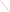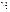## **Criteria for Selection of Environmental Data Sets Decision Support Software Demonstration**

One objective of the demonstration program is to test the capability of the selected Decision Support Software (DSS) to visualize contamination data and provide guidance on where to sample to define the region which is contaminated. A series of test cases is being developed. These test cases will, to the extent possible, be taken from existing environmental contamination problems. To test the capabilities of the DSS over a wide range of conditions a suite of test cases will be developed. The developers of the DSS will be asked to solve as many of the verification problems as they can during the demonstration to be held in the summer of 1998. The test cases will be designed to examine different aspects of the definition of the nature and extent of contamination with increasing levels of complexity. The following lists the criteria and data needs for selecting environmental data sets for use as test cases.

## **Contamination Zone Thoroughly Characterized**

The data that will be used for testing will be from actual sites. Every effort will be made to keep the sites anonymous. As a benchmark for testing decision support tools, the data set must be complete enough to accurately define the location and extent of the contamination zone. The data should delineate the three-dimensional boundary of the contaminated zone. Detailed characterization of the contamination is the most important criteria for selection of a data set. If possible, data measurements over a period of time would be useful in developing test problems.

## **Contaminants**

To test the range of capabilities in the Decision Support Software a number of contaminants with different transport characteristics should be tested. Contamination originating from the same source with multiple contaminants having significantly different transport characteristics would prove useful for testing. The types of contaminants needed include:

 $\bullet$  non-aqueous phase liquids (NAPL): generally they are soluble in water up to a few parts per thousand, below this limit they will travel in the aqueous phase, above this limit they will travel as a separate phase. It is felt that most DSS will not address the movement of non-aqueous phase contaminants traveling as a separate phase. Therefore, the demonstration will focus on NAPL contamination that moves with the groundwater.

 $\bullet$  heavy metals: often characterized by high degree of sorption and low mobility.

 $\bullet$  radioactive: their unique characteristic is radioactive decay. Some radionuclides are mobile and relatively rapidly in the groundwater phase while others exhibit low-mobility and are predominantly found in the solid phase.

### **Phase**

There are three phases in which the contaminant can reside, liquid, solid, or gas. For the demonstration problems, emphasis is placed on soil and groundwater contamination. For this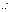reason and because of the difficulty in predicting non-aqueous phase transport, problems with non-aqueous phase contamination existing as a separate phase should not be included. Gas phase contamination of volatile organic compounds is typically much less of a problem than liquid phase contamination and therefore will not be considered. Solid phase contamination is often a large problem for heavy metals and certain radionuclides (e.g., Cs-137) and will be considered for inclusion in the suite of test problems.

Performing a detailed calculation of water flow is an important but a time-consuming task. The demonstration is scheduled to last approximately two-weeks. It is felt that it is not possible to calibrate a water flow field in this time frame. Therefore, groundwater contamination problems will be developed for cases in which the flow is well behaved and can be adequately described using a simplification over the approach requiring calibration of the flow field. Water flow problems will be simplified by supplying a hydraulic potential map and hydraulic conductivities, or by supplying average flow rates over the problem domain.

#### **Site History**

The history of the site often provides important information pertaining to the nature and extent of contamination. The location and history of the facilities use of contaminated materials will be needed to help in the data evaluation.

An important piece of information for defining the plume is the history of potential sources. For example, the signature of a continuous source with relatively uniform release over time is a plume with highest concentrations near the source which will decrease as one moves away from the source region. In contrast, if the source resulted from a one-time event or a shortduration event, the maximum concentration is located away from the source and the leading and trailing edges of the plume depend on the source and transport characteristics. Both types of problems should be tested if possible.

#### **Site Characterization**

Knowledge pertaining to the local geohydrology and stratigraphic units may be needed to supply data for the analysis. General information such as the average groundwater flow rate and direction, porosity, sorption characteristics (Kd), thickness of the unsaturated zone, thickness of the aquifer, etc., may also be needed to define the problem.

Contamination in fractured media is characterized by regions of high concentration in the fractures and low concentrations outside of the fractures. The regions of high concentration are extremely variable and may change markedly on the order of a few inches or feet. These sites are difficult to characterize and most likely their analysis is beyond the scope of existing DSS. For this reason, data from fractured sites will have to be carefully reviewed prior to inclusion in the final suite of test problems. It may not be possible to define a problem from a fractured site for the demonstration.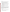### **Types of Problems**:

The preceding sections present the general requirements for data to define problems for testing of DSS. The next three sections, Types of Problems, Data Set Requirements, and Data, provide a more detailed description of the data needs and the format in which they are needed. When selecting a problem for consideration, the following information is needed.

For the demonstration data for the following types of problems is desired:

- $\bullet$  a two-dimensional surface soil contamination problem (5-10 acres in size)
- $\bullet$  a three-dimensional surface/subsurface soil contamination problem (5-10 acres in size)
- $\bullet$  a groundwater contamination problem flow adequately represented as one-dimensional (horizontal flow)
- $\bullet$  a groundwater contamination problem flow adequately represented in two-dimensions (horizontal and vertical flow)
- $\bullet$  A groundwater contamination problem multiple flow paths, layered geologic media with a fully three-dimensional flow field).
- • $\Box$  soil and groundwater contamination simple flow field, one or two-dimensional.

Examples with multiple contaminants are preferred. However, single contaminant problems are also desirable. It is desired to have a wide range of contaminants for testing. As a minimum, data containing VOC contamination in groundwater and metal/radionuclide contamination in soils should be obtained.

## **Data Sets Requirements (narrative)**:

For each problem a narrative description of the site and operational history relative to the contaminant(s) of concern is needed. The narrative should describe the general characteristics of the problem and any special circumstances that are known. The following example provides the level of detail requested: TCA was used at this facility from 1970 - 1995. Operational records indicate that less than 50 gallons of TCA was spilled per year.. However, in 1982, a spill of approximately 325 gallons occurred.. Other spills of approximately 100 gallons occurred in 1975, 1980, and 1991. For groundwater contamination problems, general information on the site hydrogeology is needed. This is discussed further in data needs.

# **Data - electronic format only**

The following provides a list of the major types and categories of data needed to develop the test problems.

 $\bullet$   $\Box$  Contaminants

x,y,z coordinates and contaminant concentration for all sample locations. If the time history is available this may be useful for groundwater contamination problems.

 $\bullet$  Site

Graphic files (gif or tif format) of site, buildings, roads, etc. 2-dimensional and/or 3-dimensional visualizations of site